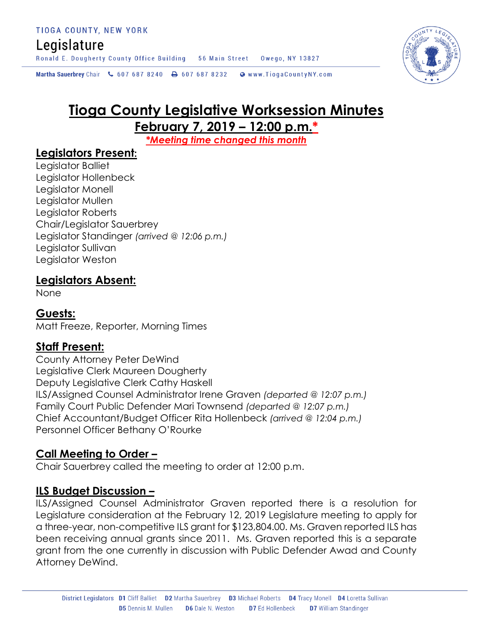# Legislature

Ronald E. Dougherty County Office Building 56 Main Street Owego, NY 13827

Martha Sauerbrey Chair & 607 687 8240 <a>B</a>607 687 8232 <a>B</a>Www.TiogaCountyNY.com

# **Tioga County Legislative Worksession Minutes**

**February 7, 2019 – 12:00 p.m.\***

*\*Meeting time changed this month*

# **Legislators Present:**

Legislator Balliet Legislator Hollenbeck Legislator Monell Legislator Mullen Legislator Roberts Chair/Legislator Sauerbrey Legislator Standinger *(arrived @ 12:06 p.m.)* Legislator Sullivan Legislator Weston

## **Legislators Absent:**

None

# **Guests:**

Matt Freeze, Reporter, Morning Times

# **Staff Present:**

County Attorney Peter DeWind Legislative Clerk Maureen Dougherty Deputy Legislative Clerk Cathy Haskell ILS/Assigned Counsel Administrator Irene Graven *(departed @ 12:07 p.m.)* Family Court Public Defender Mari Townsend *(departed @ 12:07 p.m.)* Chief Accountant/Budget Officer Rita Hollenbeck *(arrived @ 12:04 p.m.)* Personnel Officer Bethany O'Rourke

# **Call Meeting to Order –**

Chair Sauerbrey called the meeting to order at 12:00 p.m.

## **ILS Budget Discussion –**

ILS/Assigned Counsel Administrator Graven reported there is a resolution for Legislature consideration at the February 12, 2019 Legislature meeting to apply for a three-year, non-competitive ILS grant for \$123,804.00. Ms. Graven reported ILS has been receiving annual grants since 2011. Ms. Graven reported this is a separate grant from the one currently in discussion with Public Defender Awad and County Attorney DeWind.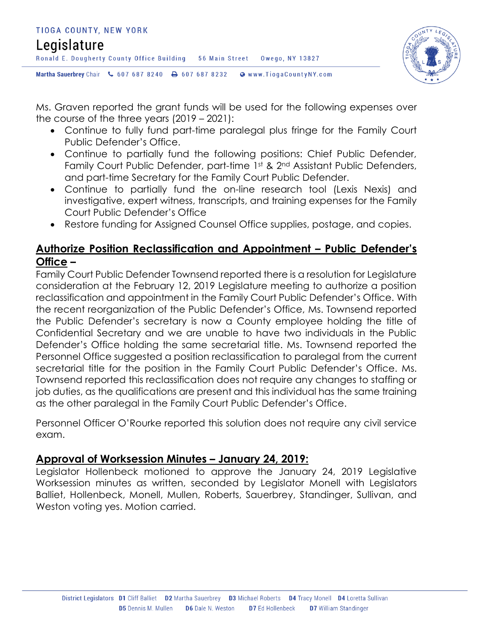



Ms. Graven reported the grant funds will be used for the following expenses over the course of the three years (2019 – 2021):

- Continue to fully fund part-time paralegal plus fringe for the Family Court Public Defender's Office.
- Continue to partially fund the following positions: Chief Public Defender, Family Court Public Defender, part-time 1st & 2nd Assistant Public Defenders, and part-time Secretary for the Family Court Public Defender.
- Continue to partially fund the on-line research tool (Lexis Nexis) and investigative, expert witness, transcripts, and training expenses for the Family Court Public Defender's Office
- Restore funding for Assigned Counsel Office supplies, postage, and copies.

# **Authorize Position Reclassification and Appointment – Public Defender's Office –**

Family Court Public Defender Townsend reported there is a resolution for Legislature consideration at the February 12, 2019 Legislature meeting to authorize a position reclassification and appointment in the Family Court Public Defender's Office. With the recent reorganization of the Public Defender's Office, Ms. Townsend reported the Public Defender's secretary is now a County employee holding the title of Confidential Secretary and we are unable to have two individuals in the Public Defender's Office holding the same secretarial title. Ms. Townsend reported the Personnel Office suggested a position reclassification to paralegal from the current secretarial title for the position in the Family Court Public Defender's Office. Ms. Townsend reported this reclassification does not require any changes to staffing or job duties, as the qualifications are present and this individual has the same training as the other paralegal in the Family Court Public Defender's Office.

Personnel Officer O'Rourke reported this solution does not require any civil service exam.

# **Approval of Worksession Minutes – January 24, 2019:**

Legislator Hollenbeck motioned to approve the January 24, 2019 Legislative Worksession minutes as written, seconded by Legislator Monell with Legislators Balliet, Hollenbeck, Monell, Mullen, Roberts, Sauerbrey, Standinger, Sullivan, and Weston voting yes. Motion carried.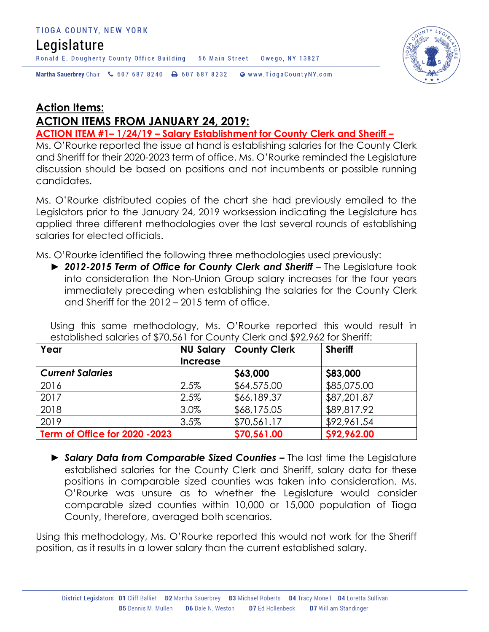# Legislature

Ronald E. Dougherty County Office Building 56 Main Street Owego, NY 13827



Martha Sauerbrey Chair & 607 687 8240 <a>B</a>607 687 8232 <a>B</a>Www.TiogaCountyNY.com

# **Action Items: ACTION ITEMS FROM JANUARY 24, 2019:**

**ACTION ITEM #1– 1/24/19 – Salary Establishment for County Clerk and Sheriff –**

Ms. O'Rourke reported the issue at hand is establishing salaries for the County Clerk and Sheriff for their 2020-2023 term of office. Ms. O'Rourke reminded the Legislature discussion should be based on positions and not incumbents or possible running candidates.

Ms. O'Rourke distributed copies of the chart she had previously emailed to the Legislators prior to the January 24, 2019 worksession indicating the Legislature has applied three different methodologies over the last several rounds of establishing salaries for elected officials.

Ms. O'Rourke identified the following three methodologies used previously:

► *2012-2015 Term of Office for County Clerk and Sheriff* – The Legislature took into consideration the Non-Union Group salary increases for the four years immediately preceding when establishing the salaries for the County Clerk and Sheriff for the 2012 – 2015 term of office.

Using this same methodology, Ms. O'Rourke reported this would result in established salaries of \$70,561 for County Clerk and \$92,962 for Sheriff:

| Year                           | <b>NU Salary</b><br><b>Increase</b> | <b>County Clerk</b> | <b>Sheriff</b> |
|--------------------------------|-------------------------------------|---------------------|----------------|
| <b>Current Salaries</b>        |                                     | \$63,000            | \$83,000       |
| 2016                           | 2.5%                                | \$64,575.00         | \$85,075.00    |
| 2017                           | 2.5%                                | \$66,189.37         | \$87,201.87    |
| 2018                           | 3.0%                                | \$68,175.05         | \$89,817.92    |
| 2019                           | 3.5%                                | \$70,561.17         | \$92,961.54    |
| Term of Office for 2020 - 2023 |                                     | \$70,561.00         | \$92,962.00    |

► *Salary Data from Comparable Sized Counties –* The last time the Legislature established salaries for the County Clerk and Sheriff, salary data for these positions in comparable sized counties was taken into consideration. Ms. O'Rourke was unsure as to whether the Legislature would consider comparable sized counties within 10,000 or 15,000 population of Tioga County, therefore, averaged both scenarios.

Using this methodology, Ms. O'Rourke reported this would not work for the Sheriff position, as it results in a lower salary than the current established salary.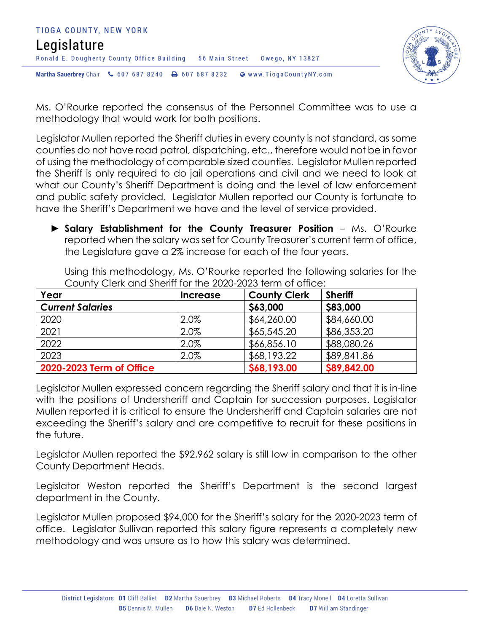



Ms. O'Rourke reported the consensus of the Personnel Committee was to use a methodology that would work for both positions.

Legislator Mullen reported the Sheriff duties in every county is not standard, as some counties do not have road patrol, dispatching, etc., therefore would not be in favor of using the methodology of comparable sized counties. Legislator Mullen reported the Sheriff is only required to do jail operations and civil and we need to look at what our County's Sheriff Department is doing and the level of law enforcement and public safety provided. Legislator Mullen reported our County is fortunate to have the Sheriff's Department we have and the level of service provided.

► **Salary Establishment for the County Treasurer Position** – Ms. O'Rourke reported when the salary was set for County Treasurer's current term of office, the Legislature gave a 2% increase for each of the four years.

| Year                     | Increase | <b>County Clerk</b> | <b>Sheriff</b> |
|--------------------------|----------|---------------------|----------------|
| <b>Current Salaries</b>  |          | \$63,000            | \$83,000       |
| 2020                     | 2.0%     | \$64,260.00         | \$84,660.00    |
| 2021                     | 2.0%     | \$65,545.20         | \$86,353.20    |
| 2022                     | 2.0%     | \$66,856.10         | \$88,080.26    |
| 2023                     | 2.0%     | \$68,193.22         | \$89,841.86    |
| 2020-2023 Term of Office |          | \$68,193.00         | \$89,842.00    |

Using this methodology, Ms. O'Rourke reported the following salaries for the County Clerk and Sheriff for the 2020-2023 term of office:

Legislator Mullen expressed concern regarding the Sheriff salary and that it is in-line with the positions of Undersheriff and Captain for succession purposes. Legislator Mullen reported it is critical to ensure the Undersheriff and Captain salaries are not exceeding the Sheriff's salary and are competitive to recruit for these positions in the future.

Legislator Mullen reported the \$92,962 salary is still low in comparison to the other County Department Heads.

Legislator Weston reported the Sheriff's Department is the second largest department in the County.

Legislator Mullen proposed \$94,000 for the Sheriff's salary for the 2020-2023 term of office. Legislator Sullivan reported this salary figure represents a completely new methodology and was unsure as to how this salary was determined.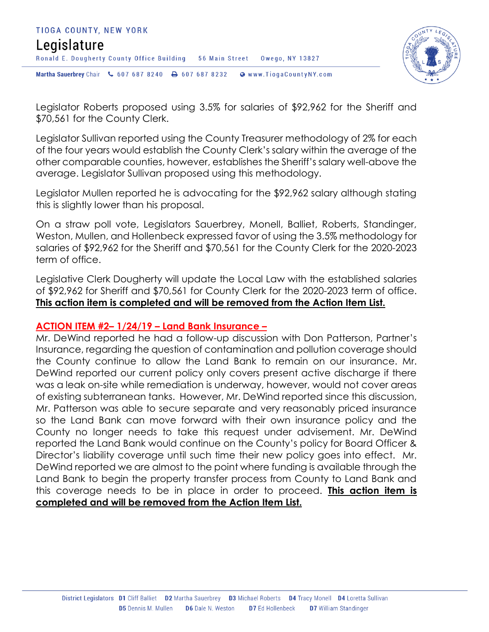



Legislator Roberts proposed using 3.5% for salaries of \$92,962 for the Sheriff and \$70,561 for the County Clerk.

Legislator Sullivan reported using the County Treasurer methodology of 2% for each of the four years would establish the County Clerk's salary within the average of the other comparable counties, however, establishes the Sheriff's salary well-above the average. Legislator Sullivan proposed using this methodology.

Legislator Mullen reported he is advocating for the \$92,962 salary although stating this is slightly lower than his proposal.

On a straw poll vote, Legislators Sauerbrey, Monell, Balliet, Roberts, Standinger, Weston, Mullen, and Hollenbeck expressed favor of using the 3.5% methodology for salaries of \$92,962 for the Sheriff and \$70,561 for the County Clerk for the 2020-2023 term of office.

Legislative Clerk Dougherty will update the Local Law with the established salaries of \$92,962 for Sheriff and \$70,561 for County Clerk for the 2020-2023 term of office. **This action item is completed and will be removed from the Action Item List.** 

#### **ACTION ITEM #2– 1/24/19 – Land Bank Insurance –**

Mr. DeWind reported he had a follow-up discussion with Don Patterson, Partner's Insurance, regarding the question of contamination and pollution coverage should the County continue to allow the Land Bank to remain on our insurance. Mr. DeWind reported our current policy only covers present active discharge if there was a leak on-site while remediation is underway, however, would not cover areas of existing subterranean tanks. However, Mr. DeWind reported since this discussion, Mr. Patterson was able to secure separate and very reasonably priced insurance so the Land Bank can move forward with their own insurance policy and the County no longer needs to take this request under advisement. Mr. DeWind reported the Land Bank would continue on the County's policy for Board Officer & Director's liability coverage until such time their new policy goes into effect. Mr. DeWind reported we are almost to the point where funding is available through the Land Bank to begin the property transfer process from County to Land Bank and this coverage needs to be in place in order to proceed. **This action item is completed and will be removed from the Action Item List.**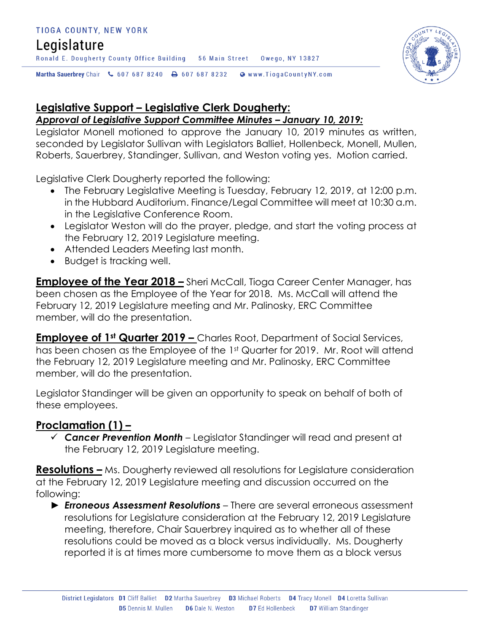#### TIOGA COUNTY, NEW YORK

# Legislature

Ronald E. Dougherty County Office Building 56 Main Street Owego, NY 13827

Martha Sauerbrey Chair & 607 687 8240 <a>B</a>607 687 8232 <a>B</a>Www.TiogaCountyNY.com

# **Legislative Support – Legislative Clerk Dougherty:**

## *Approval of Legislative Support Committee Minutes – January 10, 2019:*

Legislator Monell motioned to approve the January 10, 2019 minutes as written, seconded by Legislator Sullivan with Legislators Balliet, Hollenbeck, Monell, Mullen, Roberts, Sauerbrey, Standinger, Sullivan, and Weston voting yes. Motion carried.

Legislative Clerk Dougherty reported the following:

- The February Legislative Meeting is Tuesday, February 12, 2019, at 12:00 p.m. in the Hubbard Auditorium. Finance/Legal Committee will meet at 10:30 a.m. in the Legislative Conference Room.
- Legislator Weston will do the prayer, pledge, and start the voting process at the February 12, 2019 Legislature meeting.
- Attended Leaders Meeting last month.
- Budget is tracking well.

**Employee of the Year 2018 –** Sheri McCall, Tioga Career Center Manager, has been chosen as the Employee of the Year for 2018. Ms. McCall will attend the February 12, 2019 Legislature meeting and Mr. Palinosky, ERC Committee member, will do the presentation.

**Employee of 1st Quarter 2019 –** Charles Root, Department of Social Services, has been chosen as the Employee of the 1st Quarter for 2019. Mr. Root will attend the February 12, 2019 Legislature meeting and Mr. Palinosky, ERC Committee member, will do the presentation.

Legislator Standinger will be given an opportunity to speak on behalf of both of these employees.

# **Proclamation (1) –**

 *Cancer Prevention Month* – Legislator Standinger will read and present at the February 12, 2019 Legislature meeting.

**Resolutions –** Ms. Dougherty reviewed all resolutions for Legislature consideration at the February 12, 2019 Legislature meeting and discussion occurred on the following:

► *Erroneous Assessment Resolutions* – There are several erroneous assessment resolutions for Legislature consideration at the February 12, 2019 Legislature meeting, therefore, Chair Sauerbrey inquired as to whether all of these resolutions could be moved as a block versus individually. Ms. Dougherty reported it is at times more cumbersome to move them as a block versus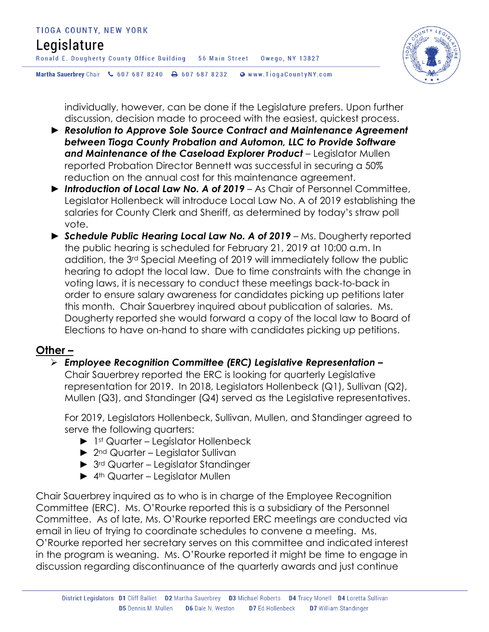# Legislature

Ronald E. Dougherty County Office Building 56 Main Street 0wego, NY 13827





individually, however, can be done if the Legislature prefers. Upon further discussion, decision made to proceed with the easiest, quickest process.

- ► *Resolution to Approve Sole Source Contract and Maintenance Agreement between Tioga County Probation and Automon, LLC to Provide Software*  and Maintenance of the Caseload Explorer Product - Legislator Mullen reported Probation Director Bennett was successful in securing a 50% reduction on the annual cost for this maintenance agreement.
- ► *Introduction of Local Law No. A of 2019* As Chair of Personnel Committee, Legislator Hollenbeck will introduce Local Law No. A of 2019 establishing the salaries for County Clerk and Sheriff, as determined by today's straw poll vote.
- ► *Schedule Public Hearing Local Law No. A of 2019* Ms. Dougherty reported the public hearing is scheduled for February 21, 2019 at 10:00 a.m. In addition, the 3rd Special Meeting of 2019 will immediately follow the public hearing to adopt the local law. Due to time constraints with the change in voting laws, it is necessary to conduct these meetings back-to-back in order to ensure salary awareness for candidates picking up petitions later this month. Chair Sauerbrey inquired about publication of salaries. Ms. Dougherty reported she would forward a copy of the local law to Board of Elections to have on-hand to share with candidates picking up petitions.

## **Other –**

## *Employee Recognition Committee (ERC) Legislative Representation –*

Chair Sauerbrey reported the ERC is looking for quarterly Legislative representation for 2019. In 2018, Legislators Hollenbeck (Q1), Sullivan (Q2), Mullen (Q3), and Standinger (Q4) served as the Legislative representatives.

For 2019, Legislators Hollenbeck, Sullivan, Mullen, and Standinger agreed to serve the following quarters:

- ► 1st Quarter Legislator Hollenbeck
- ► 2<sup>nd</sup> Quarter Legislator Sullivan
- ► 3rd Quarter Legislator Standinger
- ► 4<sup>th</sup> Quarter Legislator Mullen

Chair Sauerbrey inquired as to who is in charge of the Employee Recognition Committee (ERC). Ms. O'Rourke reported this is a subsidiary of the Personnel Committee. As of late, Ms. O'Rourke reported ERC meetings are conducted via email in lieu of trying to coordinate schedules to convene a meeting. Ms. O'Rourke reported her secretary serves on this committee and indicated interest in the program is weaning. Ms. O'Rourke reported it might be time to engage in discussion regarding discontinuance of the quarterly awards and just continue